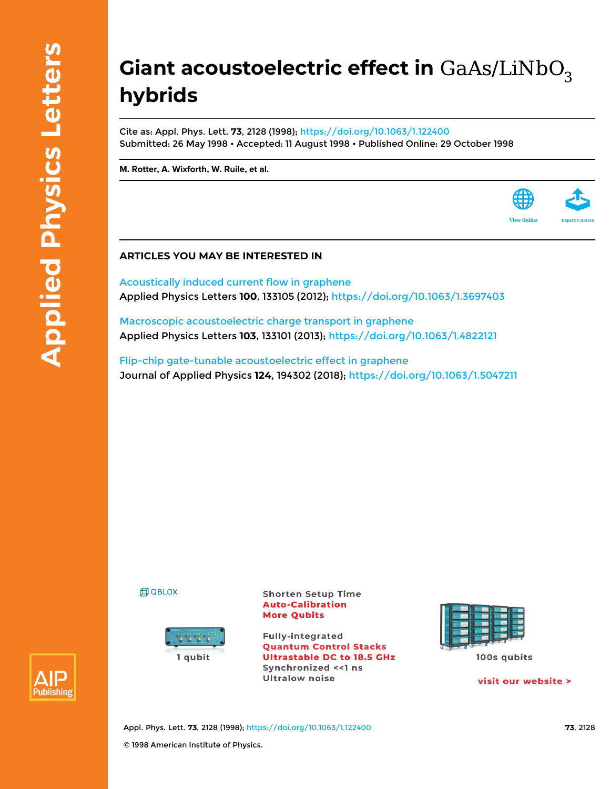## **Giant acoustoelectric effect in hybrids**

Cite as: Appl. Phys. Lett. **73**, 2128 (1998);<https://doi.org/10.1063/1.122400> Submitted: 26 May 1998 • Accepted: 11 August 1998 • Published Online: 29 October 1998

**[M. Rotter,](https://aip.scitation.org/author/Rotter%2C+M) [A. Wixforth,](https://aip.scitation.org/author/Wixforth%2C+A) [W. Ruile,](https://aip.scitation.org/author/Ruile%2C+W) et al.**



[Acoustically induced current flow in graphene](https://aip.scitation.org/doi/10.1063/1.3697403) Applied Physics Letters **100**, 133105 (2012); <https://doi.org/10.1063/1.3697403>

[Macroscopic acoustoelectric charge transport in graphene](https://aip.scitation.org/doi/10.1063/1.4822121) Applied Physics Letters **103**, 133101 (2013);<https://doi.org/10.1063/1.4822121>

[Flip-chip gate-tunable acoustoelectric effect in graphene](https://aip.scitation.org/doi/10.1063/1.5047211) Journal of Applied Physics **124**, 194302 (2018);<https://doi.org/10.1063/1.5047211>

**印 QBLOX** 



**Shorten Setup Time Auto-Calibration More Qubits** 

**Fully-integrated Quantum Control Stacks Ultrastable DC to 18.5 GHz** Synchronized << 1 ns **Ultralow noise** 



visit our website >

**View Onlin** 



Appl. Phys. Lett. **73**, 2128 (1998); <https://doi.org/10.1063/1.122400> **73**, 2128 © 1998 American Institute of Physics.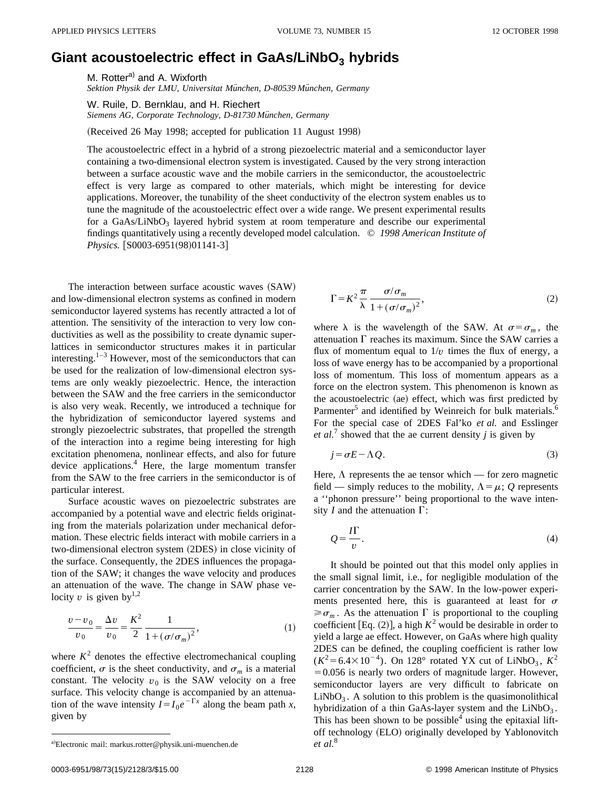## Giant acoustoelectric effect in GaAs/LiNbO<sub>3</sub> hybrids

M. Rotter<sup>a)</sup> and A. Wixforth *Sektion Physik der LMU, Universitat Mu¨nchen, D-80539 Mu¨nchen, Germany*

W. Ruile, D. Bernklau, and H. Riechert *Siemens AG, Corporate Technology, D-81730 Mu¨nchen, Germany*

(Received 26 May 1998; accepted for publication 11 August 1998)

The acoustoelectric effect in a hybrid of a strong piezoelectric material and a semiconductor layer containing a two-dimensional electron system is investigated. Caused by the very strong interaction between a surface acoustic wave and the mobile carriers in the semiconductor, the acoustoelectric effect is very large as compared to other materials, which might be interesting for device applications. Moreover, the tunability of the sheet conductivity of the electron system enables us to tune the magnitude of the acoustoelectric effect over a wide range. We present experimental results for a GaAs/LiNbO<sub>3</sub> layered hybrid system at room temperature and describe our experimental findings quantitatively using a recently developed model calculation. © *1998 American Institute of Physics.* [S0003-6951(98)01141-3]

The interaction between surface acoustic waves (SAW) and low-dimensional electron systems as confined in modern semiconductor layered systems has recently attracted a lot of attention. The sensitivity of the interaction to very low conductivities as well as the possibility to create dynamic superlattices in semiconductor structures makes it in particular interesting. $1-3$  However, most of the semiconductors that can be used for the realization of low-dimensional electron systems are only weakly piezoelectric. Hence, the interaction between the SAW and the free carriers in the semiconductor is also very weak. Recently, we introduced a technique for the hybridization of semiconductor layered systems and strongly piezoelectric substrates, that propelled the strength of the interaction into a regime being interesting for high excitation phenomena, nonlinear effects, and also for future device applications.<sup>4</sup> Here, the large momentum transfer from the SAW to the free carriers in the semiconductor is of particular interest.

Surface acoustic waves on piezoelectric substrates are accompanied by a potential wave and electric fields originating from the materials polarization under mechanical deformation. These electric fields interact with mobile carriers in a two-dimensional electron system  $(2DES)$  in close vicinity of the surface. Consequently, the 2DES influences the propagation of the SAW; it changes the wave velocity and produces an attenuation of the wave. The change in SAW phase velocity  $v$  is given by<sup>1,2</sup>

$$
\frac{v - v_0}{v_0} = \frac{\Delta v}{v_0} = \frac{K^2}{2} \frac{1}{1 + (\sigma/\sigma_m)^2},
$$
 (1)

where  $K^2$  denotes the effective electromechanical coupling coefficient,  $\sigma$  is the sheet conductivity, and  $\sigma_m$  is a material constant. The velocity  $v_0$  is the SAW velocity on a free surface. This velocity change is accompanied by an attenuation of the wave intensity  $I = I_0 e^{-\Gamma x}$  along the beam path *x*, given by

$$
\Gamma = K^2 \frac{\pi}{\lambda} \frac{\sigma/\sigma_m}{1 + (\sigma/\sigma_m)^2},\tag{2}
$$

where  $\lambda$  is the wavelength of the SAW. At  $\sigma = \sigma_m$ , the attenuation  $\Gamma$  reaches its maximum. Since the SAW carries a flux of momentum equal to  $1/v$  times the flux of energy, a loss of wave energy has to be accompanied by a proportional loss of momentum. This loss of momentum appears as a force on the electron system. This phenomenon is known as the acoustoelectric (ae) effect, which was first predicted by Parmenter<sup>5</sup> and identified by Weinreich for bulk materials.<sup>6</sup> For the special case of 2DES Fal'ko *et al.* and Esslinger *et al.*<sup>7</sup> showed that the ae current density  $j$  is given by

$$
j = \sigma E - \Lambda Q. \tag{3}
$$

Here,  $\Lambda$  represents the ae tensor which — for zero magnetic field — simply reduces to the mobility,  $\Lambda = \mu$ ; *Q* represents a ''phonon pressure'' being proportional to the wave intensity *I* and the attenuation  $\Gamma$ :

$$
Q = \frac{I\Gamma}{v}.
$$
\n<sup>(4)</sup>

It should be pointed out that this model only applies in the small signal limit, i.e., for negligible modulation of the carrier concentration by the SAW. In the low-power experiments presented here, this is guaranteed at least for  $\sigma$  $\geq \sigma_m$ . As the attenuation  $\Gamma$  is proportional to the coupling coefficient [Eq.  $(2)$ ], a high  $K^2$  would be desirable in order to yield a large ae effect. However, on GaAs where high quality 2DES can be defined, the coupling coefficient is rather low  $(K^2 = 6.4 \times 10^{-4})$ . On 128° rotated YX cut of LiNbO<sub>3</sub>,  $K^2$  $=0.056$  is nearly two orders of magnitude larger. However, semiconductor layers are very difficult to fabricate on  $LiNbO<sub>3</sub>$ . A solution to this problem is the quasimonolithical hybridization of a thin GaAs-layer system and the  $LiNbO<sub>3</sub>$ . This has been shown to be possible  $4$  using the epitaxial liftoff technology (ELO) originally developed by Yablonovitch

<sup>&</sup>lt;sup>a)</sup>Electronic mail: markus.rotter@physik.uni-muenchen.de *et al.*<sup>8</sup>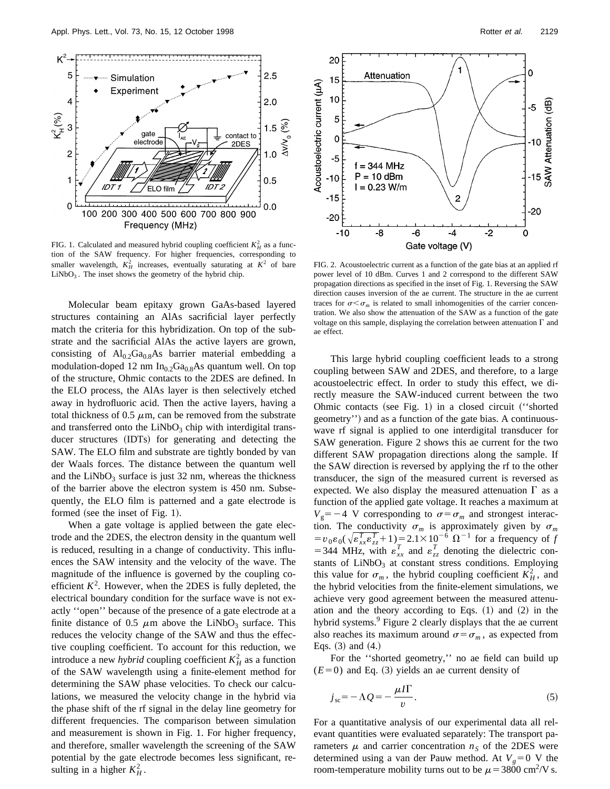

FIG. 1. Calculated and measured hybrid coupling coefficient  $K_H^2$  as a function of the SAW frequency. For higher frequencies, corresponding to smaller wavelength,  $K_H^2$  increases, eventually saturating at  $K^2$  of bare  $LiNbO<sub>3</sub>$ . The inset shows the geometry of the hybrid chip.

Molecular beam epitaxy grown GaAs-based layered structures containing an AlAs sacrificial layer perfectly match the criteria for this hybridization. On top of the substrate and the sacrificial AlAs the active layers are grown, consisting of  $Al_{0.2}Ga_{0.8}As$  barrier material embedding a modulation-doped 12 nm  $In<sub>0.2</sub>Ga<sub>0.8</sub>As quantum well. On top$ of the structure, Ohmic contacts to the 2DES are defined. In the ELO process, the AlAs layer is then selectively etched away in hydrofluoric acid. Then the active layers, having a total thickness of 0.5  $\mu$ m, can be removed from the substrate and transferred onto the  $LiNbO<sub>3</sub>$  chip with interdigital transducer structures (IDTs) for generating and detecting the SAW. The ELO film and substrate are tightly bonded by van der Waals forces. The distance between the quantum well and the  $LiNbO<sub>3</sub>$  surface is just 32 nm, whereas the thickness of the barrier above the electron system is 450 nm. Subsequently, the ELO film is patterned and a gate electrode is formed (see the inset of Fig. 1).

When a gate voltage is applied between the gate electrode and the 2DES, the electron density in the quantum well is reduced, resulting in a change of conductivity. This influences the SAW intensity and the velocity of the wave. The magnitude of the influence is governed by the coupling coefficient  $K^2$ . However, when the 2DES is fully depleted, the electrical boundary condition for the surface wave is not exactly ''open'' because of the presence of a gate electrode at a finite distance of 0.5  $\mu$ m above the LiNbO<sub>3</sub> surface. This reduces the velocity change of the SAW and thus the effective coupling coefficient. To account for this reduction, we introduce a new *hybrid* coupling coefficient  $K_H^2$  as a function of the SAW wavelength using a finite-element method for determining the SAW phase velocities. To check our calculations, we measured the velocity change in the hybrid via the phase shift of the rf signal in the delay line geometry for different frequencies. The comparison between simulation and measurement is shown in Fig. 1. For higher frequency, and therefore, smaller wavelength the screening of the SAW potential by the gate electrode becomes less significant, resulting in a higher  $K_H^2$ .



FIG. 2. Acoustoelectric current as a function of the gate bias at an applied rf power level of 10 dBm. Curves 1 and 2 correspond to the different SAW propagation directions as specified in the inset of Fig. 1. Reversing the SAW direction causes inversion of the ae current. The structure in the ae current traces for  $\sigma < \sigma_m$  is related to small inhomogenities of the carrier concentration. We also show the attenuation of the SAW as a function of the gate voltage on this sample, displaying the correlation between attenuation  $\Gamma$  and ae effect.

This large hybrid coupling coefficient leads to a strong coupling between SAW and 2DES, and therefore, to a large acoustoelectric effect. In order to study this effect, we directly measure the SAW-induced current between the two Ohmic contacts (see Fig. 1) in a closed circuit  $``shorted"$ geometry'') and as a function of the gate bias. A continuouswave rf signal is applied to one interdigital transducer for SAW generation. Figure 2 shows this ae current for the two different SAW propagation directions along the sample. If the SAW direction is reversed by applying the rf to the other transducer, the sign of the measured current is reversed as expected. We also display the measured attenuation  $\Gamma$  as a function of the applied gate voltage. It reaches a maximum at  $V_g = -4$  V corresponding to  $\sigma = \sigma_m$  and strongest interaction. The conductivity  $\sigma_m$  is approximately given by  $\sigma_m$  $= v_0 \varepsilon_0 (\sqrt{\varepsilon_{xx}^T \varepsilon_{zz}^T} + 1) = 2.1 \times 10^{-6} \Omega^{-1}$  for a frequency of *f* = 344 MHz, with  $\varepsilon_{xx}^T$  and  $\varepsilon_{zz}^T$  denoting the dielectric constants of  $LiNbO<sub>3</sub>$  at constant stress conditions. Employing this value for  $\sigma_m$ , the hybrid coupling coefficient  $K_H^2$ , and the hybrid velocities from the finite-element simulations, we achieve very good agreement between the measured attenuation and the theory according to Eqs.  $(1)$  and  $(2)$  in the hybrid systems.<sup>9</sup> Figure 2 clearly displays that the ae current also reaches its maximum around  $\sigma = \sigma_m$ , as expected from Eqs.  $(3)$  and  $(4.)$ 

For the ''shorted geometry,'' no ae field can build up  $(E=0)$  and Eq. (3) yields an ae current density of

$$
j_{\rm sc} = -\Lambda Q = -\frac{\mu I \Gamma}{v}.
$$

For a quantitative analysis of our experimental data all relevant quantities were evaluated separately: The transport parameters  $\mu$  and carrier concentration  $n<sub>S</sub>$  of the 2DES were determined using a van der Pauw method. At  $V_g = 0$  V the room-temperature mobility turns out to be  $\mu$  = 3800 cm<sup>2</sup>/V s.